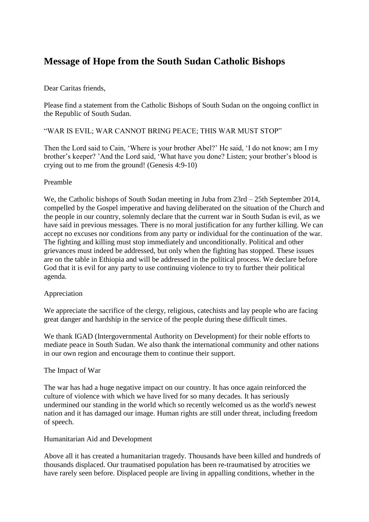# **Message of Hope from the South Sudan Catholic Bishops**

## Dear Caritas friends,

Please find a statement from the Catholic Bishops of South Sudan on the ongoing conflict in the Republic of South Sudan.

## "WAR IS EVIL; WAR CANNOT BRING PEACE; THIS WAR MUST STOP"

Then the Lord said to Cain, 'Where is your brother Abel?' He said, 'I do not know; am I my brother's keeper? 'And the Lord said, 'What have you done? Listen; your brother's blood is crying out to me from the ground! (Genesis 4:9-10)

## Preamble

We, the Catholic bishops of South Sudan meeting in Juba from 23rd – 25th September 2014, compelled by the Gospel imperative and having deliberated on the situation of the Church and the people in our country, solemnly declare that the current war in South Sudan is evil, as we have said in previous messages. There is no moral justification for any further killing. We can accept no excuses nor conditions from any party or individual for the continuation of the war. The fighting and killing must stop immediately and unconditionally. Political and other grievances must indeed be addressed, but only when the fighting has stopped. These issues are on the table in Ethiopia and will be addressed in the political process. We declare before God that it is evil for any party to use continuing violence to try to further their political agenda.

# Appreciation

We appreciate the sacrifice of the clergy, religious, cate chists and lay people who are facing great danger and hardship in the service of the people during these difficult times.

We thank IGAD (Intergovernmental Authority on Development) for their noble efforts to mediate peace in South Sudan. We also thank the international community and other nations in our own region and encourage them to continue their support.

#### The Impact of War

The war has had a huge negative impact on our country. It has once again reinforced the culture of violence with which we have lived for so many decades. It has seriously undermined our standing in the world which so recently welcomed us as the world's newest nation and it has damaged our image. Human rights are still under threat, including freedom of speech.

#### Humanitarian Aid and Development

Above all it has created a humanitarian tragedy. Thousands have been killed and hundreds of thousands displaced. Our traumatised population has been re-traumatised by atrocities we have rarely seen before. Displaced people are living in appalling conditions, whether in the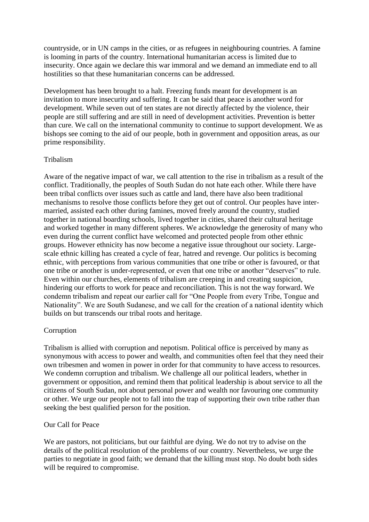countryside, or in UN camps in the cities, or as refugees in neighbouring countries. A famine is looming in parts of the country. International humanitarian access is limited due to insecurity. Once again we declare this war immoral and we demand an immediate end to all hostilities so that these humanitarian concerns can be addressed.

Development has been brought to a halt. Freezing funds meant for development is an invitation to more insecurity and suffering. It can be said that peace is another word for development. While seven out of ten states are not directly affected by the violence, their people are still suffering and are still in need of development activities. Prevention is better than cure. We call on the international community to continue to support development. We as bishops see coming to the aid of our people, both in government and opposition areas, as our prime responsibility.

## Tribalism

Aware of the negative impact of war, we call attention to the rise in tribalism as a result of the conflict. Traditionally, the peoples of South Sudan do not hate each other. While there have been tribal conflicts over issues such as cattle and land, there have also been traditional mechanisms to resolve those conflicts before they get out of control. Our peoples have intermarried, assisted each other during famines, moved freely around the country, studied together in national boarding schools, lived together in cities, shared their cultural heritage and worked together in many different spheres. We acknowledge the generosity of many who even during the current conflict have welcomed and protected people from other ethnic groups. However ethnicity has now become a negative issue throughout our society. Largescale ethnic killing has created a cycle of fear, hatred and revenge. Our politics is becoming ethnic, with perceptions from various communities that one tribe or other is favoured, or that one tribe or another is under-represented, or even that one tribe or another "deserves" to rule. Even within our churches, elements of tribalism are creeping in and creating suspicion, hindering our efforts to work for peace and reconciliation. This is not the way forward. We condemn tribalism and repeat our earlier call for "One People from every Tribe, Tongue and Nationality". We are South Sudanese, and we call for the creation of a national identity which builds on but transcends our tribal roots and heritage.

# Corruption

Tribalism is allied with corruption and nepotism. Political office is perceived by many as synonymous with access to power and wealth, and communities often feel that they need their own tribesmen and women in power in order for that community to have access to resources. We condemn corruption and tribalism. We challenge all our political leaders, whether in government or opposition, and remind them that political leadership is about service to all the citizens of South Sudan, not about personal power and wealth nor favouring one community or other. We urge our people not to fall into the trap of supporting their own tribe rather than seeking the best qualified person for the position.

# Our Call for Peace

We are pastors, not politicians, but our faithful are dying. We do not try to advise on the details of the political resolution of the problems of our country. Nevertheless, we urge the parties to negotiate in good faith; we demand that the killing must stop. No doubt both sides will be required to compromise.